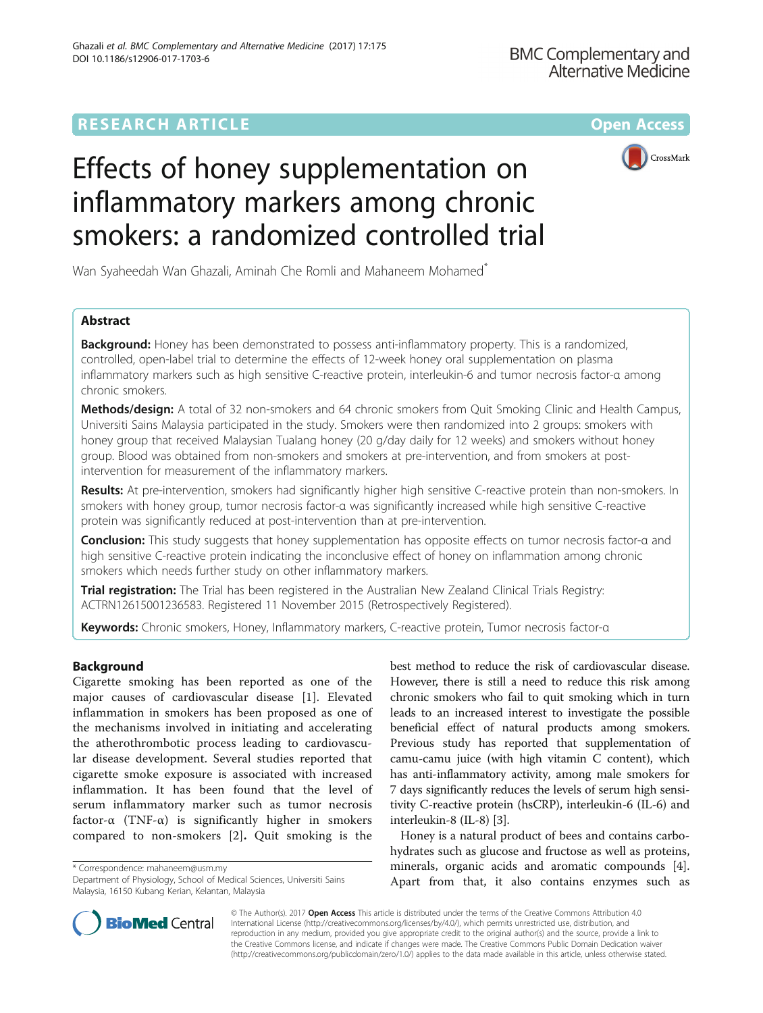## **RESEARCH ARTICLE Example 2014 12:30 The Community Community Community Community Community Community Community**



# Effects of honey supplementation on inflammatory markers among chronic smokers: a randomized controlled trial

Wan Syaheedah Wan Ghazali, Aminah Che Romli and Mahaneem Mohamed\*

## Abstract

**Background:** Honey has been demonstrated to possess anti-inflammatory property. This is a randomized, controlled, open-label trial to determine the effects of 12-week honey oral supplementation on plasma inflammatory markers such as high sensitive C-reactive protein, interleukin-6 and tumor necrosis factor-α among chronic smokers.

Methods/design: A total of 32 non-smokers and 64 chronic smokers from Quit Smoking Clinic and Health Campus, Universiti Sains Malaysia participated in the study. Smokers were then randomized into 2 groups: smokers with honey group that received Malaysian Tualang honey (20 g/day daily for 12 weeks) and smokers without honey group. Blood was obtained from non-smokers and smokers at pre-intervention, and from smokers at postintervention for measurement of the inflammatory markers.

Results: At pre-intervention, smokers had significantly higher high sensitive C-reactive protein than non-smokers. In smokers with honey group, tumor necrosis factor-α was significantly increased while high sensitive C-reactive protein was significantly reduced at post-intervention than at pre-intervention.

Conclusion: This study suggests that honey supplementation has opposite effects on tumor necrosis factor-α and high sensitive C-reactive protein indicating the inconclusive effect of honey on inflammation among chronic smokers which needs further study on other inflammatory markers.

**Trial registration:** The Trial has been registered in the Australian New Zealand Clinical Trials Registry: [ACTRN12615001236583.](http://www.ANZCTR.org.au/ACTRN12615001236583.aspx) Registered 11 November 2015 (Retrospectively Registered).

Keywords: Chronic smokers, Honey, Inflammatory markers, C-reactive protein, Tumor necrosis factor-α

## Background

Cigarette smoking has been reported as one of the major causes of cardiovascular disease [[1\]](#page-4-0). Elevated inflammation in smokers has been proposed as one of the mechanisms involved in initiating and accelerating the atherothrombotic process leading to cardiovascular disease development. Several studies reported that cigarette smoke exposure is associated with increased inflammation. It has been found that the level of serum inflammatory marker such as tumor necrosis factor- $\alpha$  (TNF- $\alpha$ ) is significantly higher in smokers compared to non-smokers [[2\]](#page-4-0). Quit smoking is the

\* Correspondence: [mahaneem@usm.my](mailto:mahaneem@usm.my)

Department of Physiology, School of Medical Sciences, Universiti Sains Malaysia, 16150 Kubang Kerian, Kelantan, Malaysia

best method to reduce the risk of cardiovascular disease. However, there is still a need to reduce this risk among chronic smokers who fail to quit smoking which in turn leads to an increased interest to investigate the possible beneficial effect of natural products among smokers. Previous study has reported that supplementation of camu-camu juice (with high vitamin C content), which has anti-inflammatory activity, among male smokers for 7 days significantly reduces the levels of serum high sensitivity C-reactive protein (hsCRP), interleukin-6 (IL-6) and interleukin-8 (IL-8) [[3\]](#page-4-0).

Honey is a natural product of bees and contains carbohydrates such as glucose and fructose as well as proteins, minerals, organic acids and aromatic compounds [\[4](#page-4-0)]. Apart from that, it also contains enzymes such as



© The Author(s). 2017 **Open Access** This article is distributed under the terms of the Creative Commons Attribution 4.0 International License [\(http://creativecommons.org/licenses/by/4.0/](http://creativecommons.org/licenses/by/4.0/)), which permits unrestricted use, distribution, and reproduction in any medium, provided you give appropriate credit to the original author(s) and the source, provide a link to the Creative Commons license, and indicate if changes were made. The Creative Commons Public Domain Dedication waiver [\(http://creativecommons.org/publicdomain/zero/1.0/](http://creativecommons.org/publicdomain/zero/1.0/)) applies to the data made available in this article, unless otherwise stated.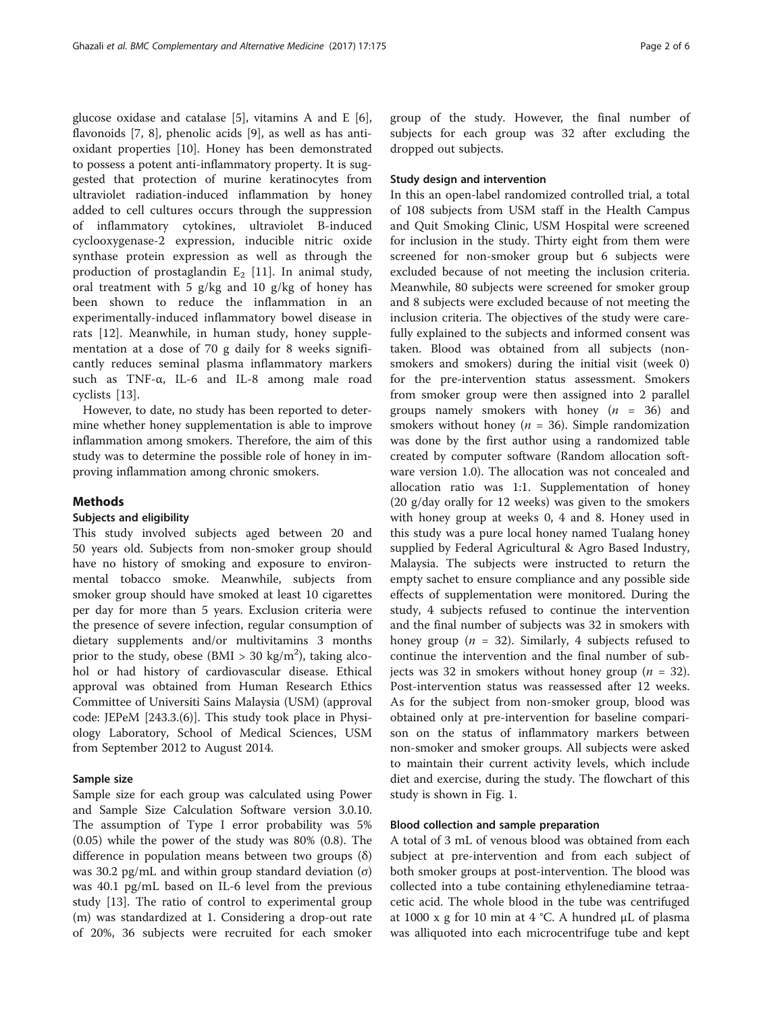glucose oxidase and catalase [[5\]](#page-4-0), vitamins A and E [\[6](#page-4-0)], flavonoids [\[7,](#page-4-0) [8\]](#page-5-0), phenolic acids [[9\]](#page-5-0), as well as has antioxidant properties [[10\]](#page-5-0). Honey has been demonstrated to possess a potent anti-inflammatory property. It is suggested that protection of murine keratinocytes from ultraviolet radiation-induced inflammation by honey added to cell cultures occurs through the suppression inflammatory cytokines, ultraviolet B-induced cyclooxygenase-2 expression, inducible nitric oxide synthase protein expression as well as through the

production of prostaglandin  $E_2$  [\[11](#page-5-0)]. In animal study,

oral treatment with 5 g/kg and 10 g/kg of honey has been shown to reduce the inflammation in an experimentally-induced inflammatory bowel disease in rats [\[12](#page-5-0)]. Meanwhile, in human study, honey supplementation at a dose of 70 g daily for 8 weeks significantly reduces seminal plasma inflammatory markers such as TNF-α, IL-6 and IL-8 among male road cyclists [[13\]](#page-5-0). However, to date, no study has been reported to deter-

mine whether honey supplementation is able to improve inflammation among smokers. Therefore, the aim of this study was to determine the possible role of honey in improving inflammation among chronic smokers.

## Methods

## Subjects and eligibility

This study involved subjects aged between 20 and 50 years old. Subjects from non-smoker group should have no history of smoking and exposure to environmental tobacco smoke. Meanwhile, subjects from smoker group should have smoked at least 10 cigarettes per day for more than 5 years. Exclusion criteria were the presence of severe infection, regular consumption of dietary supplements and/or multivitamins 3 months prior to the study, obese (BMI > 30 kg/m<sup>2</sup>), taking alcohol or had history of cardiovascular disease. Ethical approval was obtained from Human Research Ethics Committee of Universiti Sains Malaysia (USM) (approval code: JEPeM [243.3.(6)]. This study took place in Physiology Laboratory, School of Medical Sciences, USM from September 2012 to August 2014.

## Sample size

Sample size for each group was calculated using Power and Sample Size Calculation Software version 3.0.10. The assumption of Type I error probability was 5% (0.05) while the power of the study was 80% (0.8). The difference in population means between two groups  $(\delta)$ was 30.2 pg/mL and within group standard deviation (σ) was 40.1 pg/mL based on IL-6 level from the previous study [\[13](#page-5-0)]. The ratio of control to experimental group (m) was standardized at 1. Considering a drop-out rate of 20%, 36 subjects were recruited for each smoker group of the study. However, the final number of subjects for each group was 32 after excluding the dropped out subjects.

## Study design and intervention

In this an open-label randomized controlled trial, a total of 108 subjects from USM staff in the Health Campus and Quit Smoking Clinic, USM Hospital were screened for inclusion in the study. Thirty eight from them were screened for non-smoker group but 6 subjects were excluded because of not meeting the inclusion criteria. Meanwhile, 80 subjects were screened for smoker group and 8 subjects were excluded because of not meeting the inclusion criteria. The objectives of the study were carefully explained to the subjects and informed consent was taken. Blood was obtained from all subjects (nonsmokers and smokers) during the initial visit (week 0) for the pre-intervention status assessment. Smokers from smoker group were then assigned into 2 parallel groups namely smokers with honey  $(n = 36)$  and smokers without honey ( $n = 36$ ). Simple randomization was done by the first author using a randomized table created by computer software (Random allocation software version 1.0). The allocation was not concealed and allocation ratio was 1:1. Supplementation of honey (20 g/day orally for 12 weeks) was given to the smokers with honey group at weeks 0, 4 and 8. Honey used in this study was a pure local honey named Tualang honey supplied by Federal Agricultural & Agro Based Industry, Malaysia. The subjects were instructed to return the empty sachet to ensure compliance and any possible side effects of supplementation were monitored. During the study, 4 subjects refused to continue the intervention and the final number of subjects was 32 in smokers with honey group ( $n = 32$ ). Similarly, 4 subjects refused to continue the intervention and the final number of subjects was 32 in smokers without honey group ( $n = 32$ ). Post-intervention status was reassessed after 12 weeks. As for the subject from non-smoker group, blood was obtained only at pre-intervention for baseline comparison on the status of inflammatory markers between non-smoker and smoker groups. All subjects were asked to maintain their current activity levels, which include diet and exercise, during the study. The flowchart of this study is shown in Fig. [1.](#page-2-0)

## Blood collection and sample preparation

A total of 3 mL of venous blood was obtained from each subject at pre-intervention and from each subject of both smoker groups at post-intervention. The blood was collected into a tube containing ethylenediamine tetraacetic acid. The whole blood in the tube was centrifuged at 1000 x g for 10 min at 4 °C. A hundred μL of plasma was alliquoted into each microcentrifuge tube and kept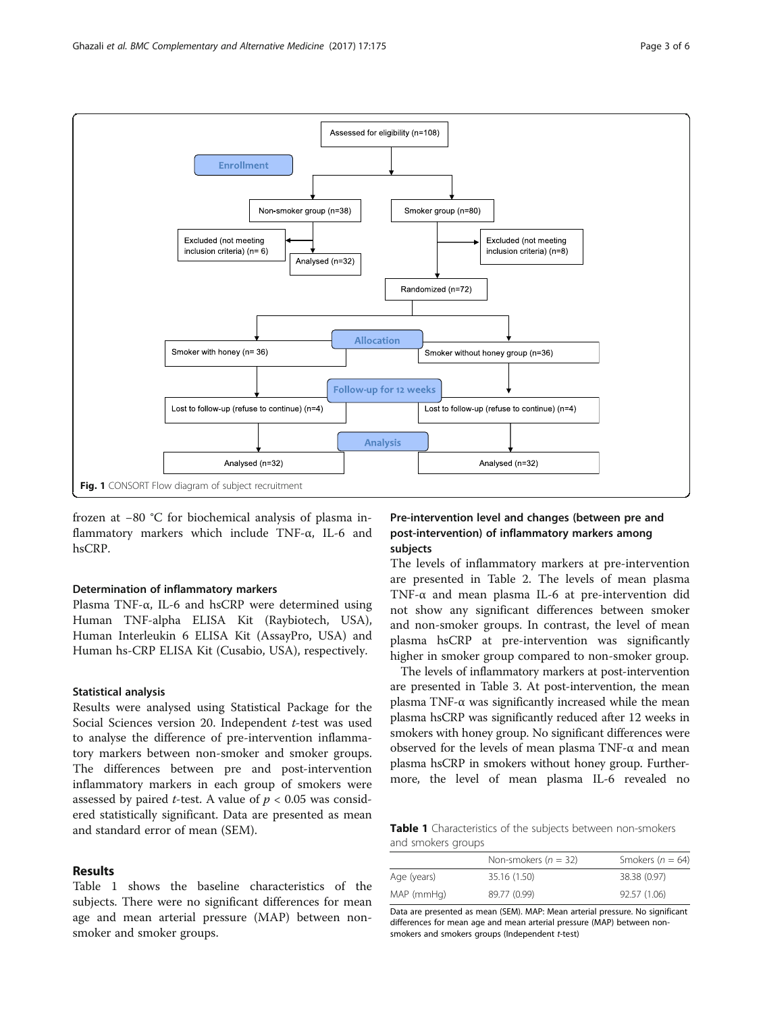<span id="page-2-0"></span>

frozen at −80 °C for biochemical analysis of plasma inflammatory markers which include TNF-α, IL-6 and hsCRP.

#### Determination of inflammatory markers

Plasma TNF- $\alpha$ , IL-6 and hsCRP were determined using Human TNF-alpha ELISA Kit (Raybiotech, USA), Human Interleukin 6 ELISA Kit (AssayPro, USA) and Human hs-CRP ELISA Kit (Cusabio, USA), respectively.

## Statistical analysis

Results were analysed using Statistical Package for the Social Sciences version 20. Independent t-test was used to analyse the difference of pre-intervention inflammatory markers between non-smoker and smoker groups. The differences between pre and post-intervention inflammatory markers in each group of smokers were assessed by paired *t*-test. A value of  $p < 0.05$  was considered statistically significant. Data are presented as mean and standard error of mean (SEM).

## Results

Table 1 shows the baseline characteristics of the subjects. There were no significant differences for mean age and mean arterial pressure (MAP) between nonsmoker and smoker groups.

## Pre-intervention level and changes (between pre and post-intervention) of inflammatory markers among subjects

The levels of inflammatory markers at pre-intervention are presented in Table [2.](#page-3-0) The levels of mean plasma TNF-α and mean plasma IL-6 at pre-intervention did not show any significant differences between smoker and non-smoker groups. In contrast, the level of mean plasma hsCRP at pre-intervention was significantly higher in smoker group compared to non-smoker group.

The levels of inflammatory markers at post-intervention are presented in Table [3](#page-3-0). At post-intervention, the mean plasma TNF-α was significantly increased while the mean plasma hsCRP was significantly reduced after 12 weeks in smokers with honey group. No significant differences were observed for the levels of mean plasma TNF-α and mean plasma hsCRP in smokers without honey group. Furthermore, the level of mean plasma IL-6 revealed no

Table 1 Characteristics of the subjects between non-smokers and smokers groups

|             | Non-smokers ( $n = 32$ ) | Smokers ( $n = 64$ ) |
|-------------|--------------------------|----------------------|
| Age (years) | 35.16 (1.50)             | 38.38 (0.97)         |
| MAP (mmHg)  | 89.77 (0.99)             | 92.57 (1.06)         |

Data are presented as mean (SEM). MAP: Mean arterial pressure. No significant differences for mean age and mean arterial pressure (MAP) between nonsmokers and smokers groups (Independent t-test)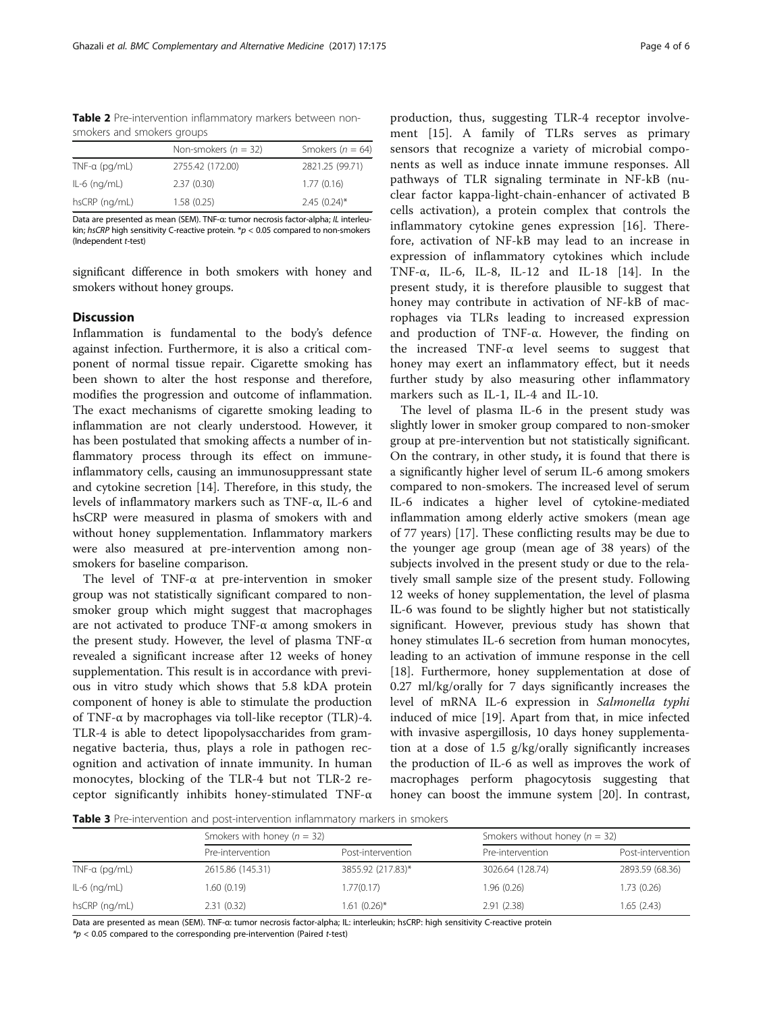<span id="page-3-0"></span>Table 2 Pre-intervention inflammatory markers between nonsmokers and smokers groups

|                 | Non-smokers ( $n = 32$ ) | Smokers ( $n = 64$ ) |
|-----------------|--------------------------|----------------------|
| $TNF-a$ (pg/mL) | 2755.42 (172.00)         | 2821.25 (99.71)      |
| $IL-6$ (ng/mL)  | 2.37(0.30)               | 1.77(0.16)           |
| hsCRP (ng/mL)   | 1.58(0.25)               | $2.45(0.24)$ *       |

Data are presented as mean (SEM). TNF-α: tumor necrosis factor-alpha; IL interleukin; hsCRP high sensitivity C-reactive protein.  $p < 0.05$  compared to non-smokers (Independent t-test)

significant difference in both smokers with honey and smokers without honey groups.

## **Discussion**

Inflammation is fundamental to the body's defence against infection. Furthermore, it is also a critical component of normal tissue repair. Cigarette smoking has been shown to alter the host response and therefore, modifies the progression and outcome of inflammation. The exact mechanisms of cigarette smoking leading to inflammation are not clearly understood. However, it has been postulated that smoking affects a number of inflammatory process through its effect on immuneinflammatory cells, causing an immunosuppressant state and cytokine secretion [\[14](#page-5-0)]. Therefore, in this study, the levels of inflammatory markers such as TNF-α, IL-6 and hsCRP were measured in plasma of smokers with and without honey supplementation. Inflammatory markers were also measured at pre-intervention among nonsmokers for baseline comparison.

The level of TNF-α at pre-intervention in smoker group was not statistically significant compared to nonsmoker group which might suggest that macrophages are not activated to produce TNF-α among smokers in the present study. However, the level of plasma TNF-α revealed a significant increase after 12 weeks of honey supplementation. This result is in accordance with previous in vitro study which shows that 5.8 kDA protein component of honey is able to stimulate the production of TNF- $\alpha$  by macrophages via toll-like receptor (TLR)-4. TLR-4 is able to detect lipopolysaccharides from gramnegative bacteria, thus, plays a role in pathogen recognition and activation of innate immunity. In human monocytes, blocking of the TLR-4 but not TLR-2 receptor significantly inhibits honey-stimulated TNF-α

production, thus, suggesting TLR-4 receptor involvement [\[15\]](#page-5-0). A family of TLRs serves as primary sensors that recognize a variety of microbial components as well as induce innate immune responses. All pathways of TLR signaling terminate in NF-kB (nuclear factor kappa-light-chain-enhancer of activated B cells activation), a protein complex that controls the inflammatory cytokine genes expression [\[16](#page-5-0)]. Therefore, activation of NF-kB may lead to an increase in expression of inflammatory cytokines which include TNF-α, IL-6, IL-8, IL-12 and IL-18 [14]. In the present study, it is therefore plausible to suggest that honey may contribute in activation of NF-kB of macrophages via TLRs leading to increased expression and production of TNF-α. However, the finding on the increased TNF-α level seems to suggest that honey may exert an inflammatory effect, but it needs further study by also measuring other inflammatory markers such as IL-1, IL-4 and IL-10.

The level of plasma IL-6 in the present study was slightly lower in smoker group compared to non-smoker group at pre-intervention but not statistically significant. On the contrary, in other study, it is found that there is a significantly higher level of serum IL-6 among smokers compared to non-smokers. The increased level of serum IL-6 indicates a higher level of cytokine-mediated inflammation among elderly active smokers (mean age of 77 years) [\[17](#page-5-0)]. These conflicting results may be due to the younger age group (mean age of 38 years) of the subjects involved in the present study or due to the relatively small sample size of the present study. Following 12 weeks of honey supplementation, the level of plasma IL-6 was found to be slightly higher but not statistically significant. However, previous study has shown that honey stimulates IL-6 secretion from human monocytes, leading to an activation of immune response in the cell [[18\]](#page-5-0). Furthermore, honey supplementation at dose of 0.27 ml/kg/orally for 7 days significantly increases the level of mRNA IL-6 expression in Salmonella typhi induced of mice [\[19](#page-5-0)]. Apart from that, in mice infected with invasive aspergillosis, 10 days honey supplementation at a dose of 1.5 g/kg/orally significantly increases the production of IL-6 as well as improves the work of macrophages perform phagocytosis suggesting that honey can boost the immune system [\[20](#page-5-0)]. In contrast,

Table 3 Pre-intervention and post-intervention inflammatory markers in smokers

|                 | Smokers with honey ( $n = 32$ ) |                   | Smokers without honey ( $n = 32$ ) |                   |  |
|-----------------|---------------------------------|-------------------|------------------------------------|-------------------|--|
|                 | Pre-intervention                | Post-intervention | Pre-intervention                   | Post-intervention |  |
| $TNF-a$ (pg/mL) | 2615.86 (145.31)                | 3855.92 (217.83)* | 3026.64 (128.74)                   | 2893.59 (68.36)   |  |
| $IL-6$ (ng/mL)  | 1.60(0.19)                      | 1.77(0.17)        | 1.96 (0.26)                        | 1.73 (0.26)       |  |
| hsCRP (ng/mL)   | 2.31(0.32)                      | $1.61(0.26)$ *    | 2.91(2.38)                         | 1.65(2.43)        |  |

Data are presented as mean (SEM). TNF-α: tumor necrosis factor-alpha; IL: interleukin; hsCRP: high sensitivity C-reactive protein  $*p$  < 0.05 compared to the corresponding pre-intervention (Paired t-test)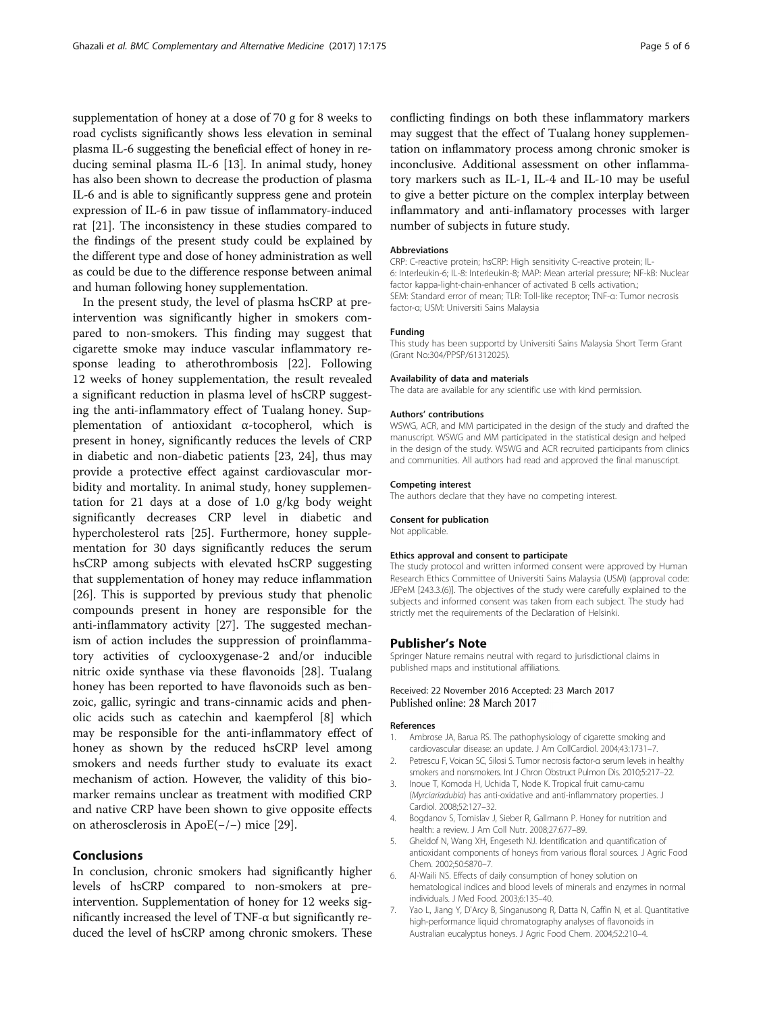<span id="page-4-0"></span>supplementation of honey at a dose of 70 g for 8 weeks to road cyclists significantly shows less elevation in seminal plasma IL-6 suggesting the beneficial effect of honey in reducing seminal plasma IL-6 [13]. In animal study, honey has also been shown to decrease the production of plasma IL-6 and is able to significantly suppress gene and protein expression of IL-6 in paw tissue of inflammatory-induced rat [[21](#page-5-0)]. The inconsistency in these studies compared to the findings of the present study could be explained by the different type and dose of honey administration as well as could be due to the difference response between animal and human following honey supplementation.

In the present study, the level of plasma hsCRP at preintervention was significantly higher in smokers compared to non-smokers. This finding may suggest that cigarette smoke may induce vascular inflammatory response leading to atherothrombosis [[22\]](#page-5-0). Following 12 weeks of honey supplementation, the result revealed a significant reduction in plasma level of hsCRP suggesting the anti-inflammatory effect of Tualang honey. Supplementation of antioxidant α-tocopherol, which is present in honey, significantly reduces the levels of CRP in diabetic and non-diabetic patients [\[23](#page-5-0), [24\]](#page-5-0), thus may provide a protective effect against cardiovascular morbidity and mortality. In animal study, honey supplementation for 21 days at a dose of 1.0 g/kg body weight significantly decreases CRP level in diabetic and hypercholesterol rats [\[25\]](#page-5-0). Furthermore, honey supplementation for 30 days significantly reduces the serum hsCRP among subjects with elevated hsCRP suggesting that supplementation of honey may reduce inflammation [[26\]](#page-5-0). This is supported by previous study that phenolic compounds present in honey are responsible for the anti-inflammatory activity [\[27](#page-5-0)]. The suggested mechanism of action includes the suppression of proinflammatory activities of cyclooxygenase-2 and/or inducible nitric oxide synthase via these flavonoids [[28\]](#page-5-0). Tualang honey has been reported to have flavonoids such as benzoic, gallic, syringic and trans-cinnamic acids and phenolic acids such as catechin and kaempferol [[8\]](#page-5-0) which may be responsible for the anti-inflammatory effect of honey as shown by the reduced hsCRP level among smokers and needs further study to evaluate its exact mechanism of action. However, the validity of this biomarker remains unclear as treatment with modified CRP and native CRP have been shown to give opposite effects on atherosclerosis in ApoE(−/−) mice [[29\]](#page-5-0).

#### Conclusions

In conclusion, chronic smokers had significantly higher levels of hsCRP compared to non-smokers at preintervention. Supplementation of honey for 12 weeks significantly increased the level of TNF-α but significantly reduced the level of hsCRP among chronic smokers. These conflicting findings on both these inflammatory markers may suggest that the effect of Tualang honey supplementation on inflammatory process among chronic smoker is inconclusive. Additional assessment on other inflammatory markers such as IL-1, IL-4 and IL-10 may be useful to give a better picture on the complex interplay between inflammatory and anti-inflamatory processes with larger number of subjects in future study.

#### Abbreviations

CRP: C-reactive protein; hsCRP: High sensitivity C-reactive protein; IL-6: Interleukin-6; IL-8: Interleukin-8; MAP: Mean arterial pressure; NF-kB: Nuclear factor kappa-light-chain-enhancer of activated B cells activation.; SEM: Standard error of mean; TLR: Toll-like receptor; TNF-α: Tumor necrosis factor-α; USM: Universiti Sains Malaysia

#### Funding

This study has been supportd by Universiti Sains Malaysia Short Term Grant (Grant No:304/PPSP/61312025).

#### Availability of data and materials

The data are available for any scientific use with kind permission.

#### Authors' contributions

WSWG, ACR, and MM participated in the design of the study and drafted the manuscript. WSWG and MM participated in the statistical design and helped in the design of the study. WSWG and ACR recruited participants from clinics and communities. All authors had read and approved the final manuscript.

#### Competing interest

The authors declare that they have no competing interest.

#### Consent for publication

Not applicable.

#### Ethics approval and consent to participate

The study protocol and written informed consent were approved by Human Research Ethics Committee of Universiti Sains Malaysia (USM) (approval code: JEPeM [243.3.(6)]. The objectives of the study were carefully explained to the subjects and informed consent was taken from each subject. The study had strictly met the requirements of the Declaration of Helsinki.

#### Publisher's Note

Springer Nature remains neutral with regard to jurisdictional claims in published maps and institutional affiliations.

#### Received: 22 November 2016 Accepted: 23 March 2017 Published online: 28 March 2017

#### References

- 1. Ambrose JA, Barua RS. The pathophysiology of cigarette smoking and cardiovascular disease: an update. J Am CollCardiol. 2004;43:1731–7.
- 2. Petrescu F, Voican SC, Silosi S. Tumor necrosis factor-α serum levels in healthy smokers and nonsmokers. Int J Chron Obstruct Pulmon Dis. 2010;5:217–22.
- 3. Inoue T, Komoda H, Uchida T, Node K. Tropical fruit camu-camu (Myrciariadubia) has anti-oxidative and anti-inflammatory properties. J Cardiol. 2008;52:127–32.
- 4. Bogdanov S, Tomislav J, Sieber R, Gallmann P. Honey for nutrition and health: a review. J Am Coll Nutr. 2008;27:677–89.
- 5. Gheldof N, Wang XH, Engeseth NJ. Identification and quantification of antioxidant components of honeys from various floral sources. J Agric Food Chem. 2002;50:5870–7.
- 6. Al-Waili NS. Effects of daily consumption of honey solution on hematological indices and blood levels of minerals and enzymes in normal individuals. J Med Food. 2003;6:135–40.
- 7. Yao L, Jiang Y, D'Arcy B, Singanusong R, Datta N, Caffin N, et al. Quantitative high-performance liquid chromatography analyses of flavonoids in Australian eucalyptus honeys. J Agric Food Chem. 2004;52:210–4.